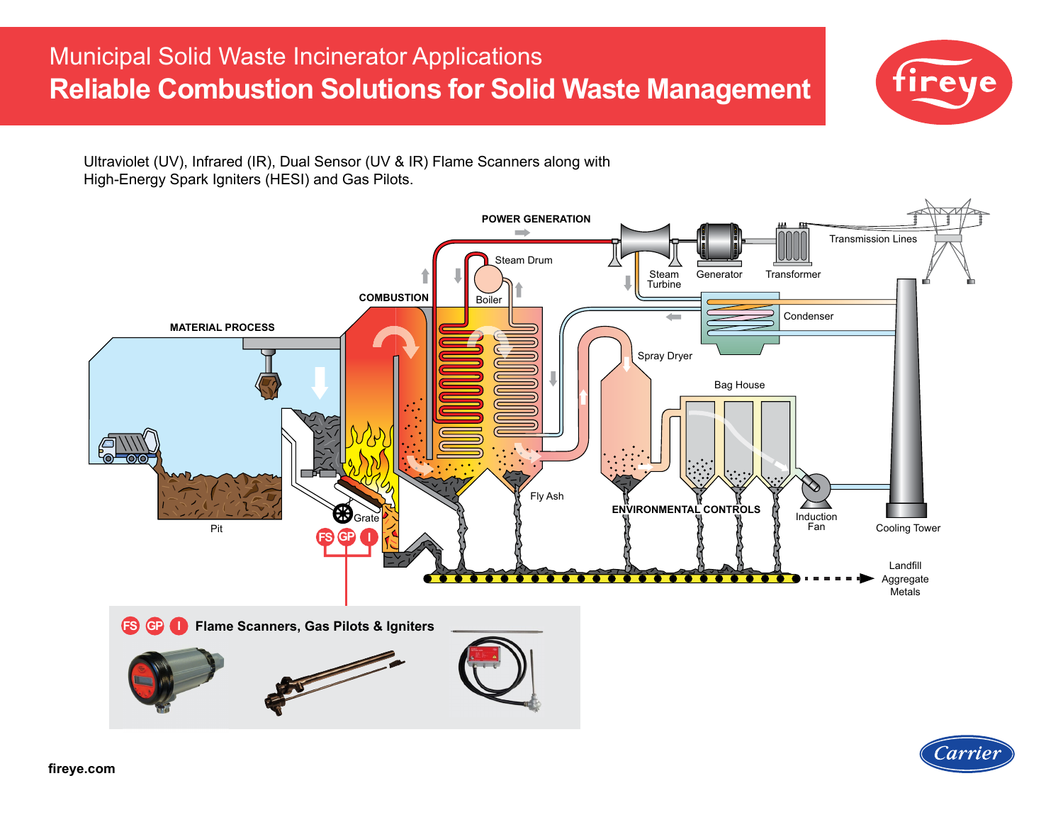# Municipal Solid Waste Incinerator Applications **Reliable Combustion Solutions for Solid Waste Management**



Ultraviolet (UV), Infrared (IR), Dual Sensor (UV & IR) Flame Scanners along with High-Energy Spark Igniters (HESI) and Gas Pilots.